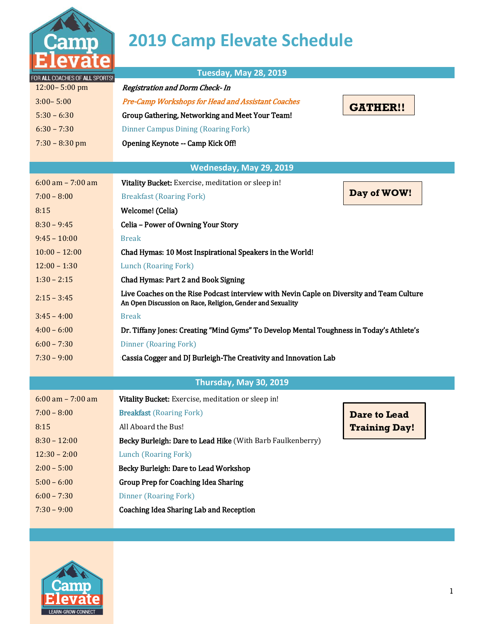

## **2019 Camp Elevate Schedule**

| <b>ELEVALLE</b>                |                                                                                                                                                         |                      |  |  |
|--------------------------------|---------------------------------------------------------------------------------------------------------------------------------------------------------|----------------------|--|--|
| FOR ALL COACHES OF ALL SPORTS! | <b>Tuesday, May 28, 2019</b>                                                                                                                            |                      |  |  |
| 12:00-5:00 pm                  | Registration and Dorm Check- In                                                                                                                         |                      |  |  |
| $3:00 - 5:00$                  | Pre-Camp Workshops for Head and Assistant Coaches                                                                                                       | <b>GATHER!!</b>      |  |  |
| $5:30 - 6:30$                  | Group Gathering, Networking and Meet Your Team!                                                                                                         |                      |  |  |
| $6:30 - 7:30$                  | <b>Dinner Campus Dining (Roaring Fork)</b>                                                                                                              |                      |  |  |
| $7:30 - 8:30$ pm               | Opening Keynote -- Camp Kick Off!                                                                                                                       |                      |  |  |
|                                |                                                                                                                                                         |                      |  |  |
| Wednesday, May 29, 2019        |                                                                                                                                                         |                      |  |  |
| $6:00$ am $-7:00$ am           | Vitality Bucket: Exercise, meditation or sleep in!                                                                                                      |                      |  |  |
| $7:00 - 8:00$                  | <b>Breakfast (Roaring Fork)</b>                                                                                                                         | Day of WOW!          |  |  |
| 8:15                           | Welcome! (Celia)                                                                                                                                        |                      |  |  |
| $8:30 - 9:45$                  | Celia - Power of Owning Your Story                                                                                                                      |                      |  |  |
| $9:45 - 10:00$                 | <b>Break</b>                                                                                                                                            |                      |  |  |
| $10:00 - 12:00$                | Chad Hymas: 10 Most Inspirational Speakers in the World!                                                                                                |                      |  |  |
| $12:00 - 1:30$                 | Lunch (Roaring Fork)                                                                                                                                    |                      |  |  |
| $1:30 - 2:15$                  | <b>Chad Hymas: Part 2 and Book Signing</b>                                                                                                              |                      |  |  |
| $2:15 - 3:45$                  | Live Coaches on the Rise Podcast interview with Nevin Caple on Diversity and Team Culture<br>An Open Discussion on Race, Religion, Gender and Sexuality |                      |  |  |
| $3:45 - 4:00$                  | <b>Break</b>                                                                                                                                            |                      |  |  |
| $4:00 - 6:00$                  | Dr. Tiffany Jones: Creating "Mind Gyms" To Develop Mental Toughness in Today's Athlete's                                                                |                      |  |  |
| $6:00 - 7:30$                  | <b>Dinner (Roaring Fork)</b>                                                                                                                            |                      |  |  |
| $7:30 - 9:00$                  | Cassia Cogger and DJ Burleigh-The Creativity and Innovation Lab                                                                                         |                      |  |  |
|                                |                                                                                                                                                         |                      |  |  |
| Thursday, May 30, 2019         |                                                                                                                                                         |                      |  |  |
| $6:00$ am $-7:00$ am           | Vitality Bucket: Exercise, meditation or sleep in!                                                                                                      |                      |  |  |
| $7:00 - 8:00$                  | <b>Breakfast</b> (Roaring Fork)                                                                                                                         | <b>Dare to Lead</b>  |  |  |
| 8:15                           | All Aboard the Bus!                                                                                                                                     | <b>Training Day!</b> |  |  |
| $8:30 - 12:00$                 | Becky Burleigh: Dare to Lead Hike (With Barb Faulkenberry)                                                                                              |                      |  |  |
| $12:30 - 2:00$                 | Lunch (Roaring Fork)                                                                                                                                    |                      |  |  |

- 2:00 5:00 Becky Burleigh: Dare to Lead Workshop
- 5:00 6:00 Group Prep for Coaching Idea Sharing
- 6:00 7:30 Dinner (Roaring Fork)
- 7:30 9:00 Coaching Idea Sharing Lab and Reception